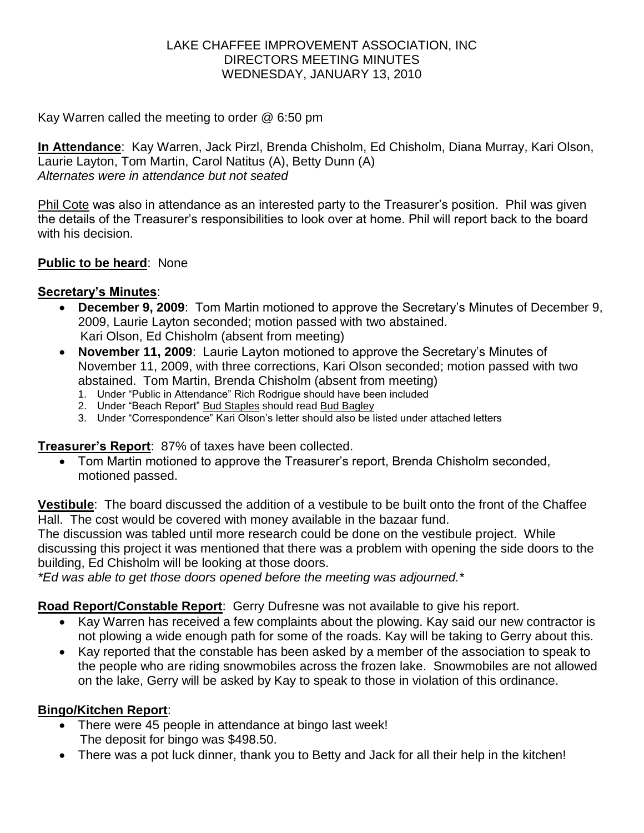### LAKE CHAFFEE IMPROVEMENT ASSOCIATION, INC DIRECTORS MEETING MINUTES WEDNESDAY, JANUARY 13, 2010

Kay Warren called the meeting to order @ 6:50 pm

**In Attendance**: Kay Warren, Jack Pirzl, Brenda Chisholm, Ed Chisholm, Diana Murray, Kari Olson, Laurie Layton, Tom Martin, Carol Natitus (A), Betty Dunn (A) *Alternates were in attendance but not seated*

Phil Cote was also in attendance as an interested party to the Treasurer's position. Phil was given the details of the Treasurer's responsibilities to look over at home. Phil will report back to the board with his decision

## **Public to be heard**: None

## **Secretary's Minutes**:

- **December 9, 2009**: Tom Martin motioned to approve the Secretary's Minutes of December 9, 2009, Laurie Layton seconded; motion passed with two abstained. Kari Olson, Ed Chisholm (absent from meeting)
- **November 11, 2009**: Laurie Layton motioned to approve the Secretary's Minutes of November 11, 2009, with three corrections, Kari Olson seconded; motion passed with two abstained. Tom Martin, Brenda Chisholm (absent from meeting)
	- 1. Under "Public in Attendance" Rich Rodrigue should have been included
	- 2. Under "Beach Report" Bud Staples should read Bud Bagley
	- 3. Under "Correspondence" Kari Olson's letter should also be listed under attached letters

**Treasurer's Report**: 87% of taxes have been collected.

 Tom Martin motioned to approve the Treasurer's report, Brenda Chisholm seconded, motioned passed.

**Vestibule**: The board discussed the addition of a vestibule to be built onto the front of the Chaffee Hall. The cost would be covered with money available in the bazaar fund.

The discussion was tabled until more research could be done on the vestibule project. While discussing this project it was mentioned that there was a problem with opening the side doors to the building, Ed Chisholm will be looking at those doors.

*\*Ed was able to get those doors opened before the meeting was adjourned.\**

## **Road Report/Constable Report**: Gerry Dufresne was not available to give his report.

- Kay Warren has received a few complaints about the plowing. Kay said our new contractor is not plowing a wide enough path for some of the roads. Kay will be taking to Gerry about this.
- Kay reported that the constable has been asked by a member of the association to speak to the people who are riding snowmobiles across the frozen lake. Snowmobiles are not allowed on the lake, Gerry will be asked by Kay to speak to those in violation of this ordinance.

## **Bingo/Kitchen Report**:

- There were 45 people in attendance at bingo last week! The deposit for bingo was \$498.50.
- There was a pot luck dinner, thank you to Betty and Jack for all their help in the kitchen!